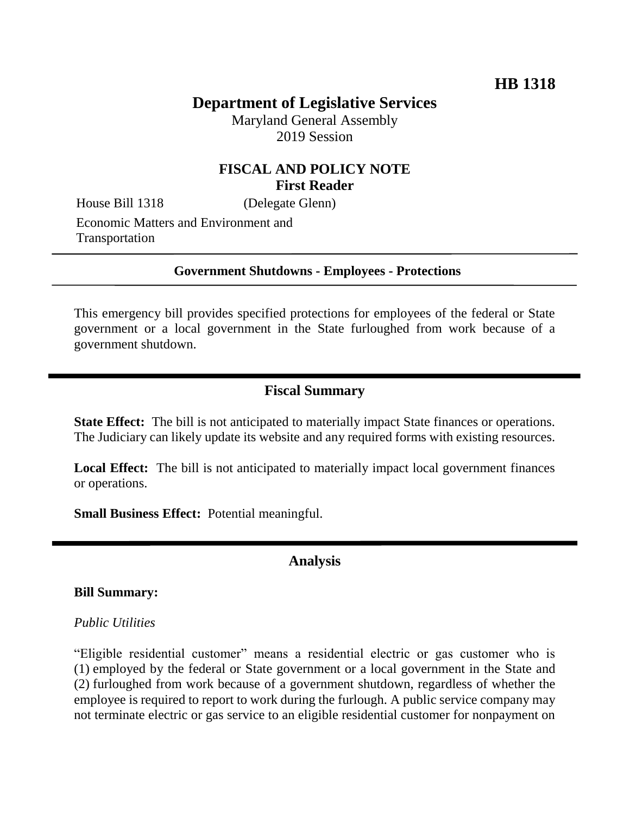# **Department of Legislative Services**

Maryland General Assembly 2019 Session

## **FISCAL AND POLICY NOTE First Reader**

House Bill 1318 (Delegate Glenn)

Economic Matters and Environment and Transportation

### **Government Shutdowns - Employees - Protections**

This emergency bill provides specified protections for employees of the federal or State government or a local government in the State furloughed from work because of a government shutdown.

## **Fiscal Summary**

**State Effect:** The bill is not anticipated to materially impact State finances or operations. The Judiciary can likely update its website and any required forms with existing resources.

**Local Effect:** The bill is not anticipated to materially impact local government finances or operations.

**Small Business Effect:** Potential meaningful.

## **Analysis**

#### **Bill Summary:**

#### *Public Utilities*

"Eligible residential customer" means a residential electric or gas customer who is (1) employed by the federal or State government or a local government in the State and (2) furloughed from work because of a government shutdown, regardless of whether the employee is required to report to work during the furlough. A public service company may not terminate electric or gas service to an eligible residential customer for nonpayment on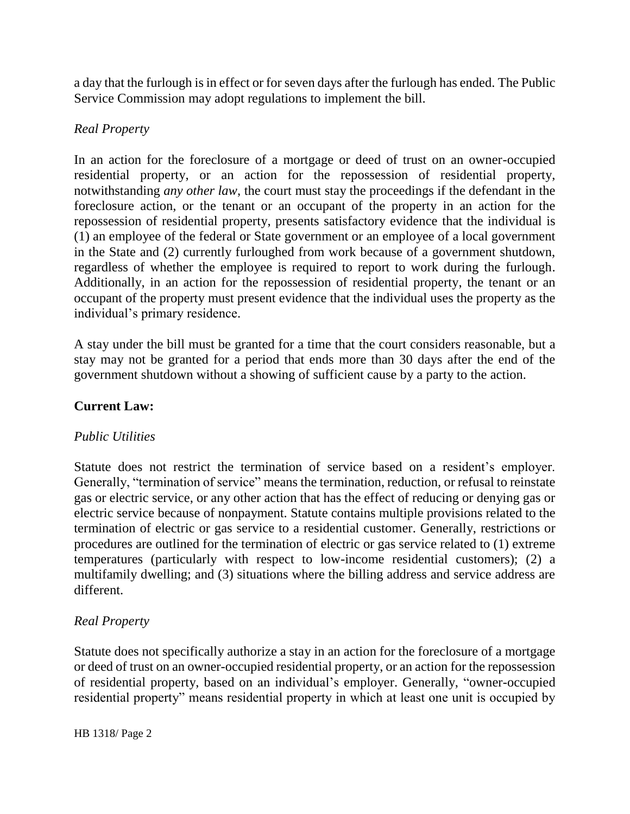a day that the furlough is in effect or for seven days after the furlough has ended. The Public Service Commission may adopt regulations to implement the bill.

## *Real Property*

In an action for the foreclosure of a mortgage or deed of trust on an owner-occupied residential property, or an action for the repossession of residential property, notwithstanding *any other law*, the court must stay the proceedings if the defendant in the foreclosure action, or the tenant or an occupant of the property in an action for the repossession of residential property, presents satisfactory evidence that the individual is (1) an employee of the federal or State government or an employee of a local government in the State and (2) currently furloughed from work because of a government shutdown, regardless of whether the employee is required to report to work during the furlough. Additionally, in an action for the repossession of residential property, the tenant or an occupant of the property must present evidence that the individual uses the property as the individual's primary residence.

A stay under the bill must be granted for a time that the court considers reasonable, but a stay may not be granted for a period that ends more than 30 days after the end of the government shutdown without a showing of sufficient cause by a party to the action.

## **Current Law:**

## *Public Utilities*

Statute does not restrict the termination of service based on a resident's employer. Generally, "termination of service" means the termination, reduction, or refusal to reinstate gas or electric service, or any other action that has the effect of reducing or denying gas or electric service because of nonpayment. Statute contains multiple provisions related to the termination of electric or gas service to a residential customer. Generally, restrictions or procedures are outlined for the termination of electric or gas service related to (1) extreme temperatures (particularly with respect to low-income residential customers); (2) a multifamily dwelling; and (3) situations where the billing address and service address are different.

## *Real Property*

Statute does not specifically authorize a stay in an action for the foreclosure of a mortgage or deed of trust on an owner-occupied residential property, or an action for the repossession of residential property, based on an individual's employer. Generally, "owner-occupied residential property" means residential property in which at least one unit is occupied by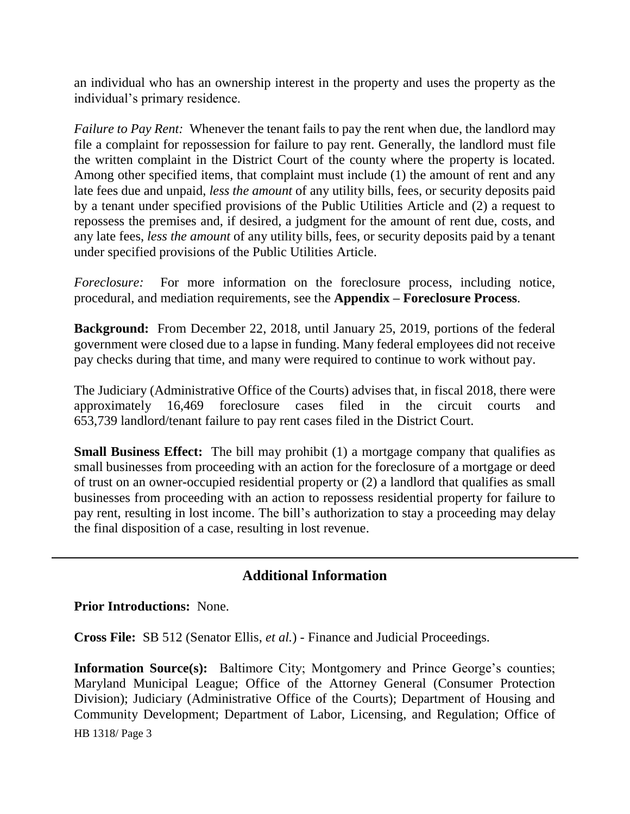an individual who has an ownership interest in the property and uses the property as the individual's primary residence.

*Failure to Pay Rent:* Whenever the tenant fails to pay the rent when due, the landlord may file a complaint for repossession for failure to pay rent. Generally, the landlord must file the written complaint in the District Court of the county where the property is located. Among other specified items, that complaint must include (1) the amount of rent and any late fees due and unpaid, *less the amount* of any utility bills, fees, or security deposits paid by a tenant under specified provisions of the Public Utilities Article and (2) a request to repossess the premises and, if desired, a judgment for the amount of rent due, costs, and any late fees, *less the amount* of any utility bills, fees, or security deposits paid by a tenant under specified provisions of the Public Utilities Article.

*Foreclosure:* For more information on the foreclosure process, including notice, procedural, and mediation requirements, see the **Appendix – Foreclosure Process**.

**Background:** From December 22, 2018, until January 25, 2019, portions of the federal government were closed due to a lapse in funding. Many federal employees did not receive pay checks during that time, and many were required to continue to work without pay.

The Judiciary (Administrative Office of the Courts) advises that, in fiscal 2018, there were approximately 16,469 foreclosure cases filed in the circuit courts and 653,739 landlord/tenant failure to pay rent cases filed in the District Court.

**Small Business Effect:** The bill may prohibit (1) a mortgage company that qualifies as small businesses from proceeding with an action for the foreclosure of a mortgage or deed of trust on an owner-occupied residential property or (2) a landlord that qualifies as small businesses from proceeding with an action to repossess residential property for failure to pay rent, resulting in lost income. The bill's authorization to stay a proceeding may delay the final disposition of a case, resulting in lost revenue.

## **Additional Information**

**Prior Introductions:** None.

**Cross File:** SB 512 (Senator Ellis, *et al.*) - Finance and Judicial Proceedings.

HB 1318/ Page 3 **Information Source(s):** Baltimore City; Montgomery and Prince George's counties; Maryland Municipal League; Office of the Attorney General (Consumer Protection Division); Judiciary (Administrative Office of the Courts); Department of Housing and Community Development; Department of Labor, Licensing, and Regulation; Office of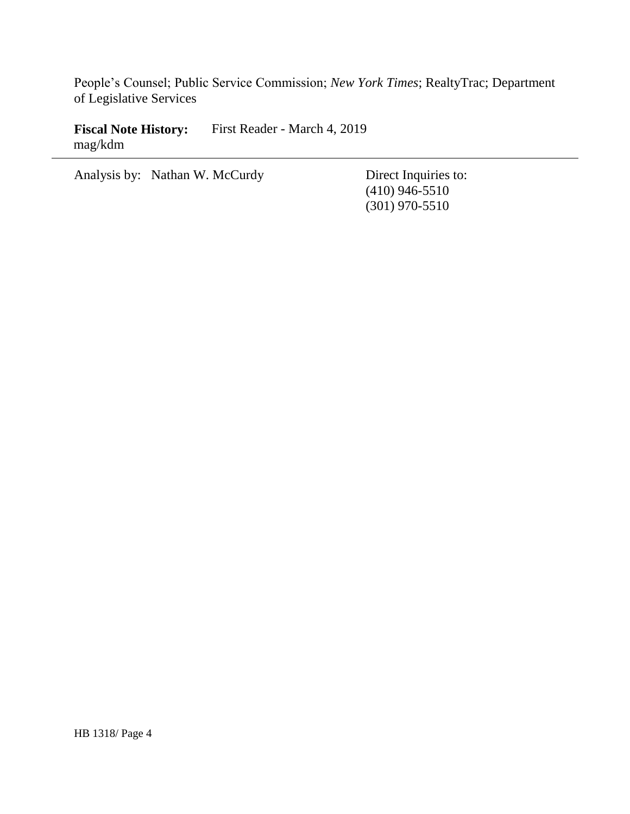People's Counsel; Public Service Commission; *New York Times*; RealtyTrac; Department of Legislative Services

Fiscal Note History: First Reader - March 4, 2019 mag/kdm

Analysis by: Nathan W. McCurdy Direct Inquiries to:

(410) 946-5510 (301) 970-5510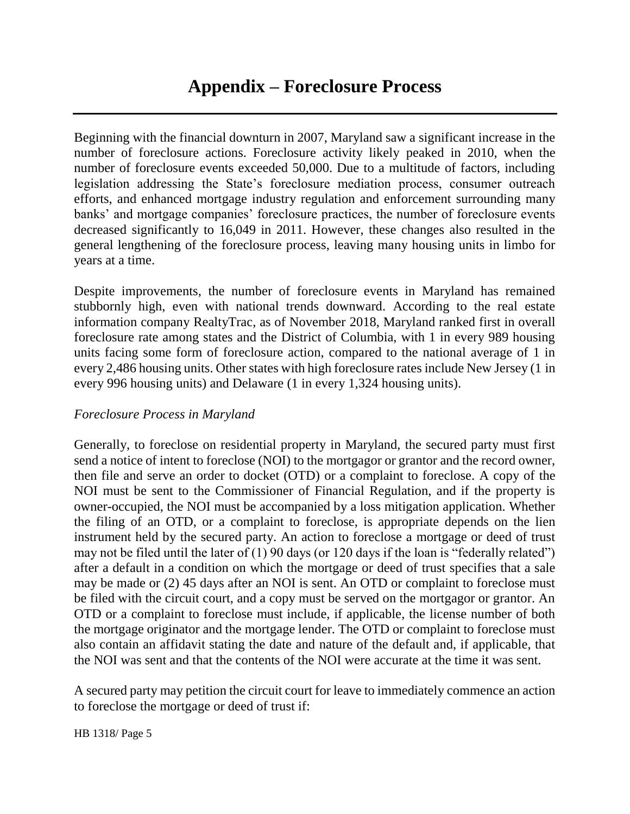Beginning with the financial downturn in 2007, Maryland saw a significant increase in the number of foreclosure actions. Foreclosure activity likely peaked in 2010, when the number of foreclosure events exceeded 50,000. Due to a multitude of factors, including legislation addressing the State's foreclosure mediation process, consumer outreach efforts, and enhanced mortgage industry regulation and enforcement surrounding many banks' and mortgage companies' foreclosure practices, the number of foreclosure events decreased significantly to 16,049 in 2011. However, these changes also resulted in the general lengthening of the foreclosure process, leaving many housing units in limbo for years at a time.

Despite improvements, the number of foreclosure events in Maryland has remained stubbornly high, even with national trends downward. According to the real estate information company RealtyTrac, as of November 2018, Maryland ranked first in overall foreclosure rate among states and the District of Columbia, with 1 in every 989 housing units facing some form of foreclosure action, compared to the national average of 1 in every 2,486 housing units. Other states with high foreclosure rates include New Jersey (1 in every 996 housing units) and Delaware (1 in every 1,324 housing units).

## *Foreclosure Process in Maryland*

Generally, to foreclose on residential property in Maryland, the secured party must first send a notice of intent to foreclose (NOI) to the mortgagor or grantor and the record owner, then file and serve an order to docket (OTD) or a complaint to foreclose. A copy of the NOI must be sent to the Commissioner of Financial Regulation, and if the property is owner-occupied, the NOI must be accompanied by a loss mitigation application. Whether the filing of an OTD, or a complaint to foreclose, is appropriate depends on the lien instrument held by the secured party. An action to foreclose a mortgage or deed of trust may not be filed until the later of (1) 90 days (or 120 days if the loan is "federally related") after a default in a condition on which the mortgage or deed of trust specifies that a sale may be made or (2) 45 days after an NOI is sent. An OTD or complaint to foreclose must be filed with the circuit court, and a copy must be served on the mortgagor or grantor. An OTD or a complaint to foreclose must include, if applicable, the license number of both the mortgage originator and the mortgage lender. The OTD or complaint to foreclose must also contain an affidavit stating the date and nature of the default and, if applicable, that the NOI was sent and that the contents of the NOI were accurate at the time it was sent.

A secured party may petition the circuit court for leave to immediately commence an action to foreclose the mortgage or deed of trust if: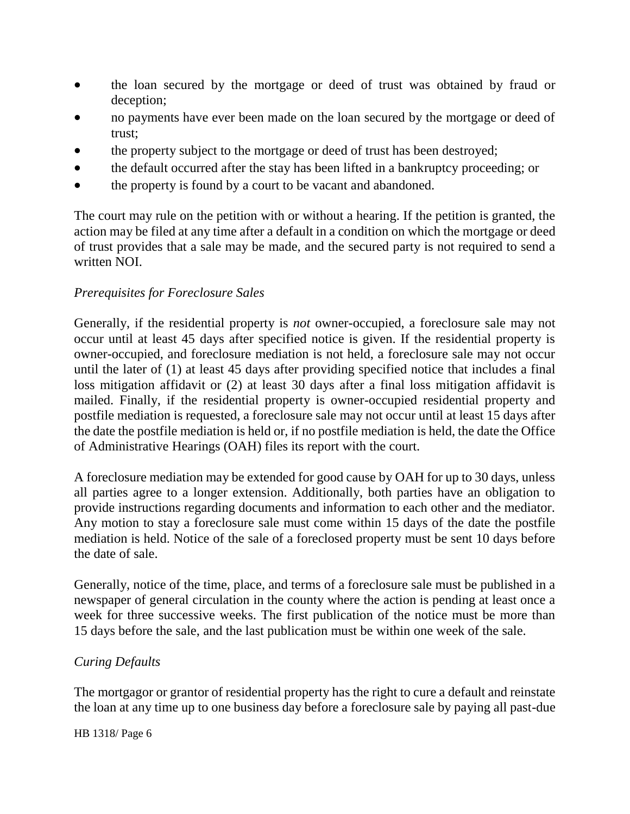- the loan secured by the mortgage or deed of trust was obtained by fraud or deception;
- no payments have ever been made on the loan secured by the mortgage or deed of trust;
- the property subject to the mortgage or deed of trust has been destroyed;
- the default occurred after the stay has been lifted in a bankruptcy proceeding; or
- the property is found by a court to be vacant and abandoned.

The court may rule on the petition with or without a hearing. If the petition is granted, the action may be filed at any time after a default in a condition on which the mortgage or deed of trust provides that a sale may be made, and the secured party is not required to send a written NOI.

### *Prerequisites for Foreclosure Sales*

Generally, if the residential property is *not* owner-occupied, a foreclosure sale may not occur until at least 45 days after specified notice is given. If the residential property is owner-occupied, and foreclosure mediation is not held, a foreclosure sale may not occur until the later of (1) at least 45 days after providing specified notice that includes a final loss mitigation affidavit or (2) at least 30 days after a final loss mitigation affidavit is mailed. Finally, if the residential property is owner-occupied residential property and postfile mediation is requested, a foreclosure sale may not occur until at least 15 days after the date the postfile mediation is held or, if no postfile mediation is held, the date the Office of Administrative Hearings (OAH) files its report with the court.

A foreclosure mediation may be extended for good cause by OAH for up to 30 days, unless all parties agree to a longer extension. Additionally, both parties have an obligation to provide instructions regarding documents and information to each other and the mediator. Any motion to stay a foreclosure sale must come within 15 days of the date the postfile mediation is held. Notice of the sale of a foreclosed property must be sent 10 days before the date of sale.

Generally, notice of the time, place, and terms of a foreclosure sale must be published in a newspaper of general circulation in the county where the action is pending at least once a week for three successive weeks. The first publication of the notice must be more than 15 days before the sale, and the last publication must be within one week of the sale.

### *Curing Defaults*

The mortgagor or grantor of residential property has the right to cure a default and reinstate the loan at any time up to one business day before a foreclosure sale by paying all past-due